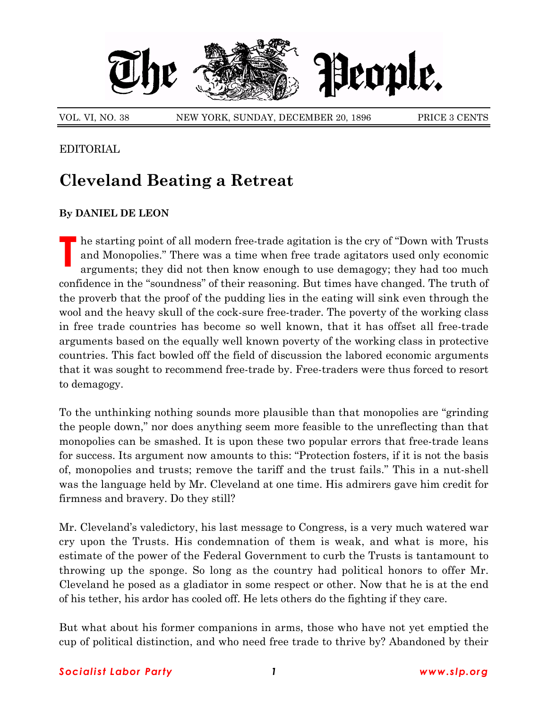

## EDITORIAL

## **Cleveland Beating a Retreat**

## **By DANIEL DE LEON**

**T** he starting point of all modern free-trade agitation is the cry of "Down with Trusts" and Monopolies." There was a time when free trade agitators used only economic arguments; they did not then know enough to use demagogy; they had too much confidence in the "soundness" of their reasoning. But times have changed. The truth of the proverb that the proof of the pudding lies in the eating will sink even through the wool and the heavy skull of the cock-sure free-trader. The poverty of the working class in free trade countries has become so well known, that it has offset all free-trade arguments based on the equally well known poverty of the working class in protective countries. This fact bowled off the field of discussion the labored economic arguments that it was sought to recommend free-trade by. Free-traders were thus forced to resort to demagogy.

To the unthinking nothing sounds more plausible than that monopolies are "grinding" the people down," nor does anything seem more feasible to the unreflecting than that monopolies can be smashed. It is upon these two popular errors that free-trade leans for success. Its argument now amounts to this: "Protection fosters, if it is not the basis of, monopolies and trusts; remove the tariff and the trust fails.î This in a nut-shell was the language held by Mr. Cleveland at one time. His admirers gave him credit for firmness and bravery. Do they still?

Mr. Cleveland's valedictory, his last message to Congress, is a very much watered war cry upon the Trusts. His condemnation of them is weak, and what is more, his estimate of the power of the Federal Government to curb the Trusts is tantamount to throwing up the sponge. So long as the country had political honors to offer Mr. Cleveland he posed as a gladiator in some respect or other. Now that he is at the end of his tether, his ardor has cooled off. He lets others do the fighting if they care.

But what about his former companions in arms, those who have not yet emptied the cup of political distinction, and who need free trade to thrive by? Abandoned by their

## *Socialist Labor Party 1 www.slp.org*